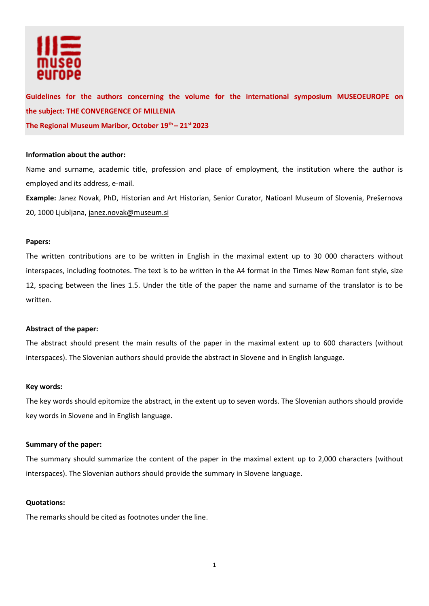

# **Guidelines for the authors concerning the volume for the international symposium MUSEOEUROPE on the subject: THE CONVERGENCE OF MILLENIA The Regional Museum Maribor, October 19 th – 21st 2023**

## **Information about the author:**

Name and surname, academic title, profession and place of employment, the institution where the author is employed and its address, e-mail.

**Example:** Janez Novak, PhD, Historian and Art Historian, Senior Curator, Natioanl Museum of Slovenia, Prešernova 20, 1000 Ljubljana[, janez.novak@museum.si](mailto:janez.novak@museum.si)

## **Papers:**

The written contributions are to be written in English in the maximal extent up to 30 000 characters without interspaces, including footnotes. The text is to be written in the A4 format in the Times New Roman font style, size 12, spacing between the lines 1.5. Under the title of the paper the name and surname of the translator is to be written.

## **Abstract of the paper:**

The abstract should present the main results of the paper in the maximal extent up to 600 characters (without interspaces). The Slovenian authors should provide the abstract in Slovene and in English language.

## **Key words:**

The key words should epitomize the abstract, in the extent up to seven words. The Slovenian authors should provide key words in Slovene and in English language.

## **Summary of the paper:**

The summary should summarize the content of the paper in the maximal extent up to 2,000 characters (without interspaces). The Slovenian authors should provide the summary in Slovene language.

## **Quotations:**

The remarks should be cited as footnotes under the line.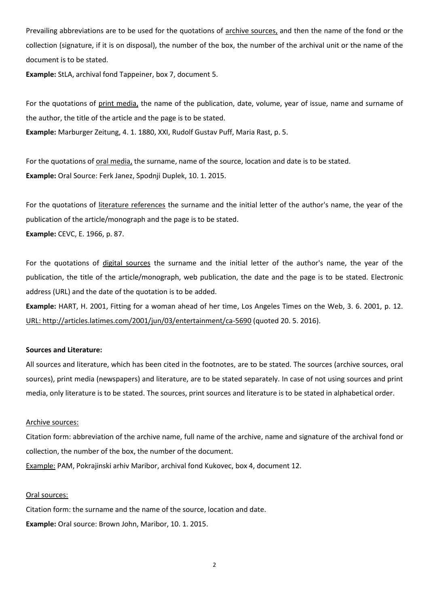Prevailing abbreviations are to be used for the quotations of archive sources, and then the name of the fond or the collection (signature, if it is on disposal), the number of the box, the number of the archival unit or the name of the document is to be stated.

**Example:** StLA, archival fond Tappeiner, box 7, document 5.

For the quotations of print media, the name of the publication, date, volume, year of issue, name and surname of the author, the title of the article and the page is to be stated.

**Example:** Marburger Zeitung, 4. 1. 1880, XXI, Rudolf Gustav Puff, Maria Rast, p. 5.

For the quotations of oral media, the surname, name of the source, location and date is to be stated. **Example:** Oral Source: Ferk Janez, Spodnji Duplek, 10. 1. 2015.

For the quotations of literature references the surname and the initial letter of the author's name, the year of the publication of the article/monograph and the page is to be stated. **Example:** CEVC, E. 1966, p. 87.

For the quotations of digital sources the surname and the initial letter of the author's name, the year of the publication, the title of the article/monograph, web publication, the date and the page is to be stated. Electronic address (URL) and the date of the quotation is to be added.

**Example:** HART, H. 2001, Fitting for a woman ahead of her time, Los Angeles Times on the Web, 3. 6. 2001, p. 12. [URL: http://articles.latimes.com/2001/jun/03/entertainment/ca-5690](http://articles.latimes.com/2001/jun/03/entertainment/ca-5690) (quoted 20. 5. 2016).

## **Sources and Literature:**

All sources and literature, which has been cited in the footnotes, are to be stated. The sources (archive sources, oral sources), print media (newspapers) and literature, are to be stated separately. In case of not using sources and print media, only literature is to be stated. The sources, print sources and literature is to be stated in alphabetical order.

### Archive sources:

Citation form: abbreviation of the archive name, full name of the archive, name and signature of the archival fond or collection, the number of the box, the number of the document.

Example: PAM, Pokrajinski arhiv Maribor, archival fond Kukovec, box 4, document 12.

### Oral sources:

Citation form: the surname and the name of the source, location and date. **Example:** Oral source: Brown John, Maribor, 10. 1. 2015.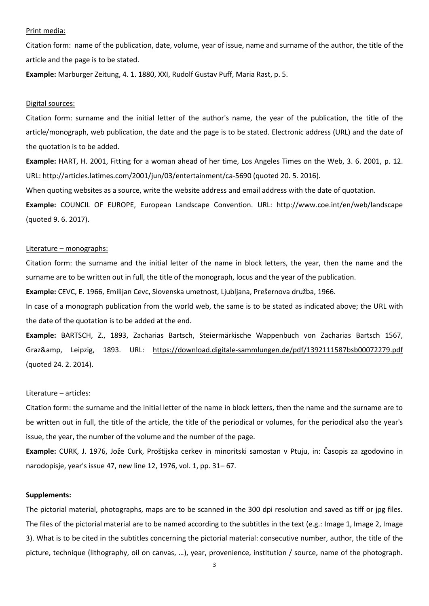#### Print media:

Citation form: name of the publication, date, volume, year of issue, name and surname of the author, the title of the article and the page is to be stated.

**Example:** Marburger Zeitung, 4. 1. 1880, XXI, Rudolf Gustav Puff, Maria Rast, p. 5.

#### Digital sources:

Citation form: surname and the initial letter of the author's name, the year of the publication, the title of the article/monograph, web publication, the date and the page is to be stated. Electronic address (URL) and the date of the quotation is to be added.

**Example:** HART, H. 2001, Fitting for a woman ahead of her time, Los Angeles Times on the Web, 3. 6. 2001, p. 12. URL: http://articles.latimes.com/2001/jun/03/entertainment/ca-5690 (quoted 20. 5. 2016).

When quoting websites as a source, write the website address and email address with the date of quotation.

**Example:** COUNCIL OF EUROPE, European Landscape Convention. URL: http://www.coe.int/en/web/landscape (quoted 9. 6. 2017).

## Literature – monographs:

Citation form: the surname and the initial letter of the name in block letters, the year, then the name and the surname are to be written out in full, the title of the monograph, locus and the year of the publication.

**Example:** CEVC, E. 1966, Emilijan Cevc, Slovenska umetnost, Ljubljana, Prešernova družba, 1966.

In case of a monograph publication from the world web, the same is to be stated as indicated above; the URL with the date of the quotation is to be added at the end.

**Example:** BARTSCH, Z., 1893, Zacharias Bartsch, Steiermärkische Wappenbuch von Zacharias Bartsch 1567, Graz&amp, Leipzig, 1893. URL: <https://download.digitale-sammlungen.de/pdf/1392111587bsb00072279.pdf> (quoted 24. 2. 2014).

## Literature – articles:

Citation form: the surname and the initial letter of the name in block letters, then the name and the surname are to be written out in full, the title of the article, the title of the periodical or volumes, for the periodical also the year's issue, the year, the number of the volume and the number of the page.

**Example:** CURK, J. 1976, Jože Curk, Proštijska cerkev in minoritski samostan v Ptuju, in: Časopis za zgodovino in narodopisje, year's issue 47, new line 12, 1976, vol. 1, pp. 31– 67.

### **Supplements:**

The pictorial material, photographs, maps are to be scanned in the 300 dpi resolution and saved as tiff or jpg files. The files of the pictorial material are to be named according to the subtitles in the text (e.g.: Image 1, Image 2, Image 3). What is to be cited in the subtitles concerning the pictorial material: consecutive number, author, the title of the picture, technique (lithography, oil on canvas, …), year, provenience, institution / source, name of the photograph.